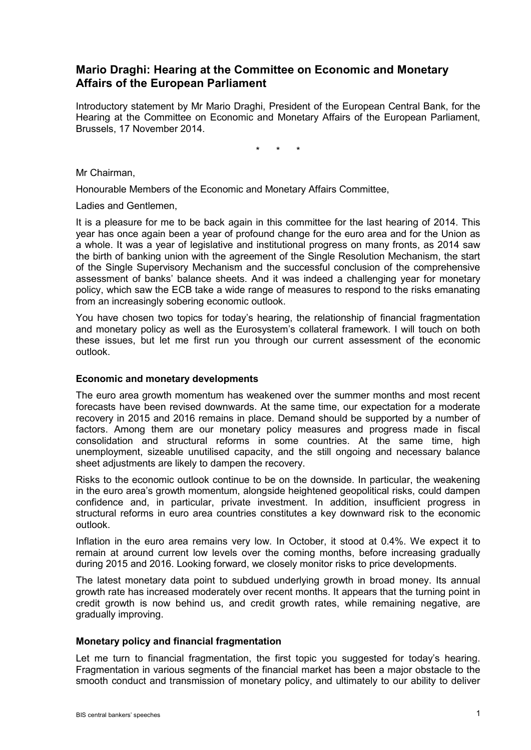# **Mario Draghi: Hearing at the Committee on Economic and Monetary Affairs of the European Parliament**

Introductory statement by Mr Mario Draghi, President of the European Central Bank, for the Hearing at the Committee on Economic and Monetary Affairs of the European Parliament, Brussels, 17 November 2014.

\* \* \*

Mr Chairman,

Honourable Members of the Economic and Monetary Affairs Committee,

Ladies and Gentlemen,

It is a pleasure for me to be back again in this committee for the last hearing of 2014. This year has once again been a year of profound change for the euro area and for the Union as a whole. It was a year of legislative and institutional progress on many fronts, as 2014 saw the birth of banking union with the agreement of the Single Resolution Mechanism, the start of the Single Supervisory Mechanism and the successful conclusion of the comprehensive assessment of banks' balance sheets. And it was indeed a challenging year for monetary policy, which saw the ECB take a wide range of measures to respond to the risks emanating from an increasingly sobering economic outlook.

You have chosen two topics for today's hearing, the relationship of financial fragmentation and monetary policy as well as the Eurosystem's collateral framework. I will touch on both these issues, but let me first run you through our current assessment of the economic outlook.

#### **Economic and monetary developments**

The euro area growth momentum has weakened over the summer months and most recent forecasts have been revised downwards. At the same time, our expectation for a moderate recovery in 2015 and 2016 remains in place. Demand should be supported by a number of factors. Among them are our monetary policy measures and progress made in fiscal consolidation and structural reforms in some countries. At the same time, high unemployment, sizeable unutilised capacity, and the still ongoing and necessary balance sheet adjustments are likely to dampen the recovery.

Risks to the economic outlook continue to be on the downside. In particular, the weakening in the euro area's growth momentum, alongside heightened geopolitical risks, could dampen confidence and, in particular, private investment. In addition, insufficient progress in structural reforms in euro area countries constitutes a key downward risk to the economic outlook.

Inflation in the euro area remains very low. In October, it stood at 0.4%. We expect it to remain at around current low levels over the coming months, before increasing gradually during 2015 and 2016. Looking forward, we closely monitor risks to price developments.

The latest monetary data point to subdued underlying growth in broad money. Its annual growth rate has increased moderately over recent months. It appears that the turning point in credit growth is now behind us, and credit growth rates, while remaining negative, are gradually improving.

#### **Monetary policy and financial fragmentation**

Let me turn to financial fragmentation, the first topic you suggested for today's hearing. Fragmentation in various segments of the financial market has been a major obstacle to the smooth conduct and transmission of monetary policy, and ultimately to our ability to deliver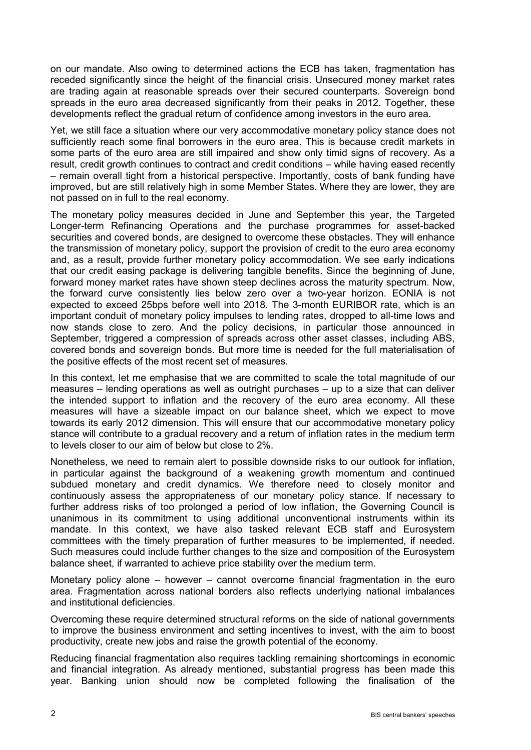on our mandate. Also owing to determined actions the ECB has taken, fragmentation has receded significantly since the height of the financial crisis. Unsecured money market rates are trading again at reasonable spreads over their secured counterparts. Sovereign bond spreads in the euro area decreased significantly from their peaks in 2012. Together, these developments reflect the gradual return of confidence among investors in the euro area.

Yet, we still face a situation where our very accommodative monetary policy stance does not sufficiently reach some final borrowers in the euro area. This is because credit markets in some parts of the euro area are still impaired and show only timid signs of recovery. As a result, credit growth continues to contract and credit conditions – while having eased recently – remain overall tight from a historical perspective. Importantly, costs of bank funding have improved, but are still relatively high in some Member States. Where they are lower, they are not passed on in full to the real economy.

The monetary policy measures decided in June and September this year, the Targeted Longer-term Refinancing Operations and the purchase programmes for asset-backed securities and covered bonds, are designed to overcome these obstacles. They will enhance the transmission of monetary policy, support the provision of credit to the euro area economy and, as a result, provide further monetary policy accommodation. We see early indications that our credit easing package is delivering tangible benefits. Since the beginning of June, forward money market rates have shown steep declines across the maturity spectrum. Now, the forward curve consistently lies below zero over a two-year horizon. EONIA is not expected to exceed 25bps before well into 2018. The 3-month EURIBOR rate, which is an important conduit of monetary policy impulses to lending rates, dropped to all-time lows and now stands close to zero. And the policy decisions, in particular those announced in September, triggered a compression of spreads across other asset classes, including ABS, covered bonds and sovereign bonds. But more time is needed for the full materialisation of the positive effects of the most recent set of measures.

In this context, let me emphasise that we are committed to scale the total magnitude of our measures – lending operations as well as outright purchases – up to a size that can deliver the intended support to inflation and the recovery of the euro area economy. All these measures will have a sizeable impact on our balance sheet, which we expect to move towards its early 2012 dimension. This will ensure that our accommodative monetary policy stance will contribute to a gradual recovery and a return of inflation rates in the medium term to levels closer to our aim of below but close to 2%.

Nonetheless, we need to remain alert to possible downside risks to our outlook for inflation, in particular against the background of a weakening growth momentum and continued subdued monetary and credit dynamics. We therefore need to closely monitor and continuously assess the appropriateness of our monetary policy stance. If necessary to further address risks of too prolonged a period of low inflation, the Governing Council is unanimous in its commitment to using additional unconventional instruments within its mandate. In this context, we have also tasked relevant ECB staff and Eurosystem committees with the timely preparation of further measures to be implemented, if needed. Such measures could include further changes to the size and composition of the Eurosystem balance sheet, if warranted to achieve price stability over the medium term.

Monetary policy alone – however – cannot overcome financial fragmentation in the euro area. Fragmentation across national borders also reflects underlying national imbalances and institutional deficiencies.

Overcoming these require determined structural reforms on the side of national governments to improve the business environment and setting incentives to invest, with the aim to boost productivity, create new jobs and raise the growth potential of the economy.

Reducing financial fragmentation also requires tackling remaining shortcomings in economic and financial integration. As already mentioned, substantial progress has been made this year. Banking union should now be completed following the finalisation of the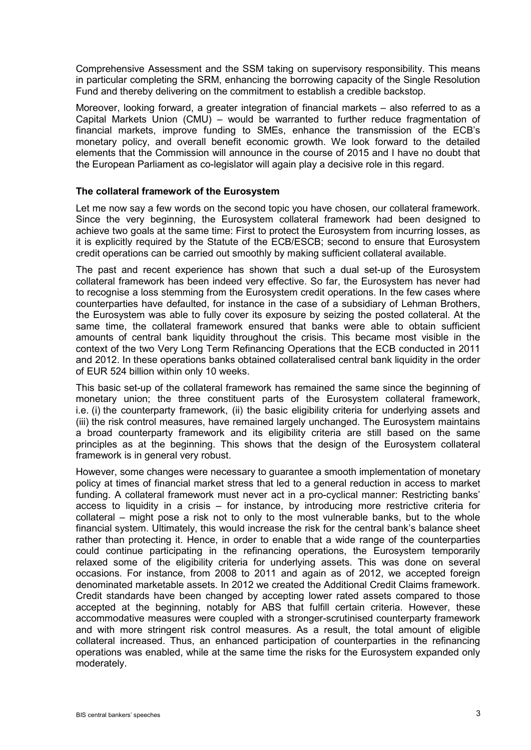Comprehensive Assessment and the SSM taking on supervisory responsibility. This means in particular completing the SRM, enhancing the borrowing capacity of the Single Resolution Fund and thereby delivering on the commitment to establish a credible backstop.

Moreover, looking forward, a greater integration of financial markets – also referred to as a Capital Markets Union (CMU) – would be warranted to further reduce fragmentation of financial markets, improve funding to SMEs, enhance the transmission of the ECB's monetary policy, and overall benefit economic growth. We look forward to the detailed elements that the Commission will announce in the course of 2015 and I have no doubt that the European Parliament as co-legislator will again play a decisive role in this regard.

### **The collateral framework of the Eurosystem**

Let me now say a few words on the second topic you have chosen, our collateral framework. Since the very beginning, the Eurosystem collateral framework had been designed to achieve two goals at the same time: First to protect the Eurosystem from incurring losses, as it is explicitly required by the Statute of the ECB/ESCB; second to ensure that Eurosystem credit operations can be carried out smoothly by making sufficient collateral available.

The past and recent experience has shown that such a dual set-up of the Eurosystem collateral framework has been indeed very effective. So far, the Eurosystem has never had to recognise a loss stemming from the Eurosystem credit operations. In the few cases where counterparties have defaulted, for instance in the case of a subsidiary of Lehman Brothers, the Eurosystem was able to fully cover its exposure by seizing the posted collateral. At the same time, the collateral framework ensured that banks were able to obtain sufficient amounts of central bank liquidity throughout the crisis. This became most visible in the context of the two Very Long Term Refinancing Operations that the ECB conducted in 2011 and 2012. In these operations banks obtained collateralised central bank liquidity in the order of EUR 524 billion within only 10 weeks.

This basic set-up of the collateral framework has remained the same since the beginning of monetary union; the three constituent parts of the Eurosystem collateral framework, i.e. (i) the counterparty framework, (ii) the basic eligibility criteria for underlying assets and (iii) the risk control measures, have remained largely unchanged. The Eurosystem maintains a broad counterparty framework and its eligibility criteria are still based on the same principles as at the beginning. This shows that the design of the Eurosystem collateral framework is in general very robust.

However, some changes were necessary to guarantee a smooth implementation of monetary policy at times of financial market stress that led to a general reduction in access to market funding. A collateral framework must never act in a pro-cyclical manner: Restricting banks' access to liquidity in a crisis – for instance, by introducing more restrictive criteria for collateral – might pose a risk not to only to the most vulnerable banks, but to the whole financial system. Ultimately, this would increase the risk for the central bank's balance sheet rather than protecting it. Hence, in order to enable that a wide range of the counterparties could continue participating in the refinancing operations, the Eurosystem temporarily relaxed some of the eligibility criteria for underlying assets. This was done on several occasions. For instance, from 2008 to 2011 and again as of 2012, we accepted foreign denominated marketable assets. In 2012 we created the Additional Credit Claims framework. Credit standards have been changed by accepting lower rated assets compared to those accepted at the beginning, notably for ABS that fulfill certain criteria. However, these accommodative measures were coupled with a stronger-scrutinised counterparty framework and with more stringent risk control measures. As a result, the total amount of eligible collateral increased. Thus, an enhanced participation of counterparties in the refinancing operations was enabled, while at the same time the risks for the Eurosystem expanded only moderately.